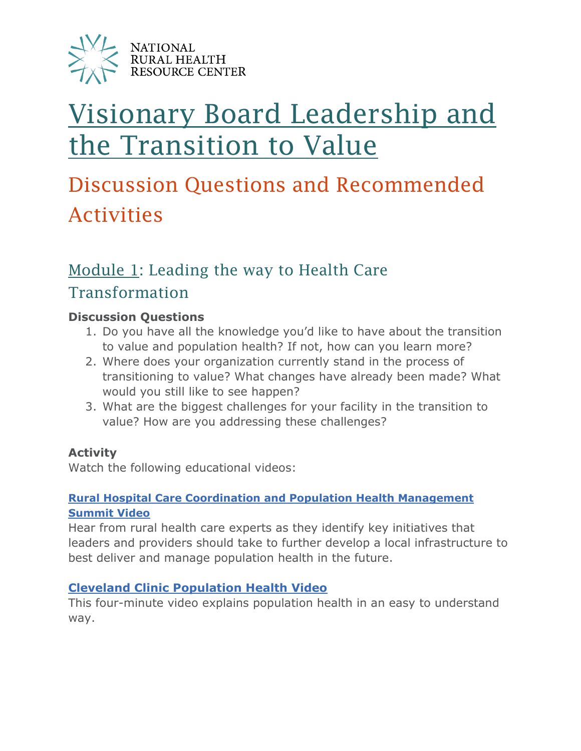

# [Visionary Board Leadership and](https://www.ruralcenter.org/resource-library/visionary-board-leadership-and-the-transition-to-value-video-learning-series)  [the Transition to Value](https://www.ruralcenter.org/resource-library/visionary-board-leadership-and-the-transition-to-value-video-learning-series)

## Discussion Questions and Recommended Activities

## [Module 1:](https://www.ruralcenter.org/resource-library/board-leadership-module-1-leading-the-way-to-health-care-transformation) Leading the way to Health Care Transformation

#### **Discussion Questions**

- 1. Do you have all the knowledge you'd like to have about the transition to value and population health? If not, how can you learn more?
- 2. Where does your organization currently stand in the process of transitioning to value? What changes have already been made? What would you still like to see happen?
- 3. What are the biggest challenges for your facility in the transition to value? How are you addressing these challenges?

#### **Activity**

Watch the following educational videos:

#### **[Rural Hospital Care Coordination and](https://www.ruralcenter.org/resource-library/rural-hospital-care-coordination-and-population-health-management-summit-report) Population Health Management [Summit Video](https://www.ruralcenter.org/resource-library/rural-hospital-care-coordination-and-population-health-management-summit-report)**

Hear from rural health care experts as they identify key initiatives that leaders and providers should take to further develop a local infrastructure to best deliver and manage population health in the future.

#### **[Cleveland Clinic Population Health Video](https://youtu.be/q78zpwSx2y0)**

This four-minute video explains population health in an easy to understand way.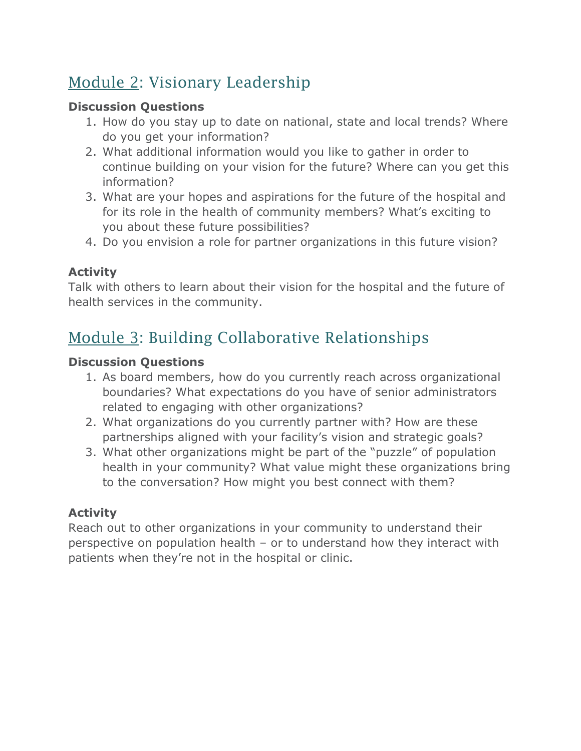## [Module 2:](https://www.ruralcenter.org/resource-library/board-leadership-module-2-visionary-leadership) Visionary Leadership

#### **Discussion Questions**

- 1. How do you stay up to date on national, state and local trends? Where do you get your information?
- 2. What additional information would you like to gather in order to continue building on your vision for the future? Where can you get this information?
- 3. What are your hopes and aspirations for the future of the hospital and for its role in the health of community members? What's exciting to you about these future possibilities?
- 4. Do you envision a role for partner organizations in this future vision?

#### **Activity**

Talk with others to learn about their vision for the hospital and the future of health services in the community.

## [Module 3:](https://www.ruralcenter.org/resource-library/board-leadership-module-3-building-collaborative-relationships) Building Collaborative Relationships

#### **Discussion Questions**

- 1. As board members, how do you currently reach across organizational boundaries? What expectations do you have of senior administrators related to engaging with other organizations?
- 2. What organizations do you currently partner with? How are these partnerships aligned with your facility's vision and strategic goals?
- 3. What other organizations might be part of the "puzzle" of population health in your community? What value might these organizations bring to the conversation? How might you best connect with them?

#### **Activity**

Reach out to other organizations in your community to understand their perspective on population health – or to understand how they interact with patients when they're not in the hospital or clinic.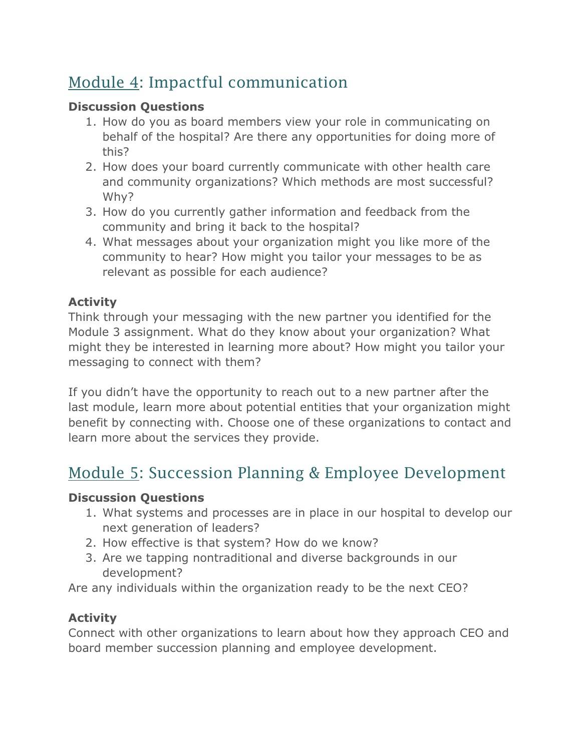## [Module 4:](https://www.ruralcenter.org/resource-library/board-leadership-module-4-impactful-communication) Impactful communication

#### **Discussion Questions**

- 1. How do you as board members view your role in communicating on behalf of the hospital? Are there any opportunities for doing more of this?
- 2. How does your board currently communicate with other health care and community organizations? Which methods are most successful? Why?
- 3. How do you currently gather information and feedback from the community and bring it back to the hospital?
- 4. What messages about your organization might you like more of the community to hear? How might you tailor your messages to be as relevant as possible for each audience?

#### **Activity**

Think through your messaging with the new partner you identified for the Module 3 assignment. What do they know about your organization? What might they be interested in learning more about? How might you tailor your messaging to connect with them?

If you didn't have the opportunity to reach out to a new partner after the last module, learn more about potential entities that your organization might benefit by connecting with. Choose one of these organizations to contact and learn more about the services they provide.

### [Module 5:](https://www.ruralcenter.org/resource-library/board-leadership-module-5-succession-planning-and-employee-development) Succession Planning & Employee Development

#### **Discussion Questions**

- 1. What systems and processes are in place in our hospital to develop our next generation of leaders?
- 2. How effective is that system? How do we know?
- 3. Are we tapping nontraditional and diverse backgrounds in our development?

Are any individuals within the organization ready to be the next CEO?

#### **Activity**

Connect with other organizations to learn about how they approach CEO and board member succession planning and employee development.